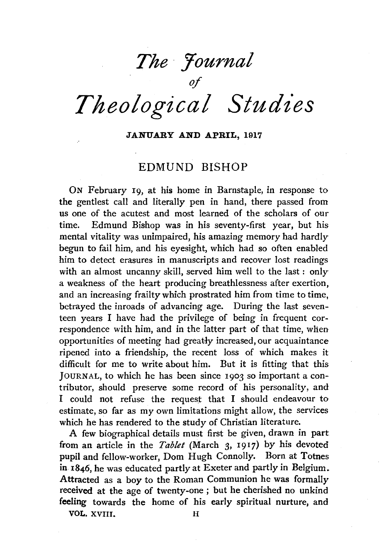*The :fournal* 

*of Theological Studies* 

## JANUARY AND APRIL, 1917

## EDMUND BISHOP

ON February 19, at his home in Barnstaple, in response to the gentlest call and literally pen in hand, there passed from us one of the acutest and most learned of the scholars of our time. Edmund Bishop was in his seventy-first year, but his mental vitality was unimpaired, his amazing memory had hardly begun to fail him, and his eyesight, which had so often enabled him to detect erasures in manuscripts and recover lost readings with an almost uncanny skill, served him well to the last : only a weakness of the heart producing breathlessness after exertion, and an increasing frailty which prostrated him from time to time, betrayed the inroads of advancing age. During the last seventeen years I have had the privilege of being in frequent correspondence with him, and in the latter part of that time, when opportunities of meeting had greatly increased, our acquaintance ripened into a friendship, the recent loss of which makes it difficult for me to write about him. But it is fitting that this JOURNAL, to which he has been since 1903 so important a contributor, should preserve some record of his personality, and I could not refuse the request that I should endeavour to estimate, so far as my own limitations might allow, the services which he has rendered to the study of Christian literature.

A few biographical details must first be given, drawn in part from an article in the *Tablet* (March 3, 1917) by his devoted pupil and fellow-worker, Dom Hugh Connolly. Born at Totnes in 1846, he was educated partly at Exeter and partly in Belgium. Attracted as a boy to the Roman Communion he was formally received at the age of twenty-one ; but he cherished no unkind feeling towards the home of his early spiritual nurture, and

VOL. XVIII. H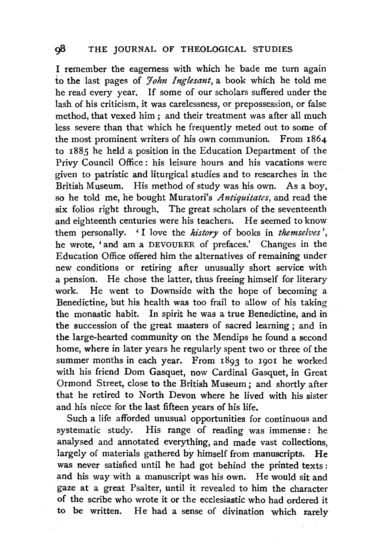I remember the eagerness with which he bade me turn again to the last pages of *Yohn Inglesant,* a book which he told me he read every year. If some of our scholars suffered under the lash of his criticism, it was carelessness, or prepossession, or false method, that vexed him ; and their treatment was after all much less severe than that which he frequently meted out to some of the most prominent writers of his own communion. From 1864 to 1885 he held a position in the Education Department of the Privy Council Office : his leisure hours and his vacations were given to patristic and liturgical studies and to researches in the British Museum. His method of study was his own. As a boy, so he told me, he bought Muratori's *Antiquitates*, and read the six folios right through. The great scholars of the seventeenth and eighteenth centuries were his teachers. He seemed to know them personally. 'I love the *history* of books in *themselves'*, he wrote, ' and am a DEVOURER of prefaces.' Changes in the Education Office offered him the alternatives of remaining under new conditions or retiring after unusually short service with a pension. He chose the latter, thus freeing himself for literary work. He went to Downside with the hope of becoming a Benedictine, but his health was too frail to allow of his taking the monastic habit. In spirit he was a true Benedictine, and in the succession of the great masters of sacred learning ; and in the large-hearted community on the Mendips he found a second home, where in later years he regularly spent two or three of the summer months in each year. From 1893 to 1901 he worked with his friend Dom Gasquet, now Cardinal Gasquet, in Great Ormond Street, close to the British Museum; and shortly after that he retired to North Devon where he lived with his sister and his niece for the last fifteen years of his life.

Such a life afforded unusual opportunities for continuous and systematic study. His range of reading was immense : he analysed and annotated everything, and made vast collections, largely of materials gathered by himself from manuscripts. He was never satisfied until he had got behind the printed texts : and his way with a manuscript was his own. He would sit and gaze at a great Psalter, until it revealed to him the character of the scribe who wrote it or the ecclesiastic who had ordered it to be written. He had a sense of divination which rarely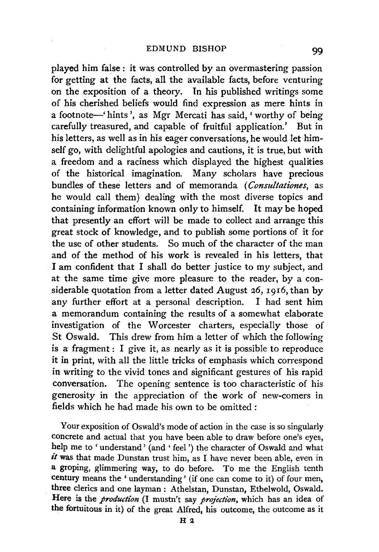played him false : it was controlled by an overmastering passion for getting at the facts, all the available facts, before venturing on the exposition of a theory. In his published writings some of his cherished beliefs would find expression as mere hints in a footnote-' hints', as Mgr Mercati has said, 'worthy of being carefully treasured, and capable of fruitful application.' But in his letters, as well as in his eager conversations, he would let himself go, with delightful apologies and cautions, it is true, but with a freedom and a raciness which displayed the highest qualities of the historical imagination. Many scholars have precious bundles of these letters and of memoranda ( *Consultationes,* as he would call them) dealing with the most diverse topics and containing information known only to himself. It may be hoped that presently an effort will be made to collect and arrange this great stock of knowledge, and to publish some portions of it for the use of other students. So much of the character of the man and of the method of his work is revealed in his letters, that I am confident that I shall do better justice to my subject, and at the same time give more pleasure to the reader, by a considerable quotation from a letter dated August 26, 1916, than by any further effort at a personal description. I had sent him a memorandum containing the results of a somewhat elaborate investigation of the Worcester charters, especially those of St Oswald. This drew from him a letter of which the following is a fragment : I give it, as nearly as it is possible to reproduce it in print, with all the little tricks of emphasis which correspond in writing to the vivid tones and significant gestures of his rapid conversation. The opening sentence is too characteristic of his generosity in the appreciation of the work of new-comers in fields which he had made his own to be omitted :

Your exposition of Oswald's mode of action in the case is so singularly concrete and actual that you have been able to draw before one's eyes, help me to 'understand' (and ' feel') the character of Oswald and what  $it$  was that made Dunstan trust him, as I have never been able, even in a groping, glimmering way, to do before. To me the English tenth century means the 'understanding' (if one can come to it) of four men, three clerics and one layman : Athelstan, Dunstan, Ethelwold, Oswald. Here is the *production* (I mustn't say *projection,* which has an idea of the fortuitous in it) of the great Alfred, his outcome, the outcome as it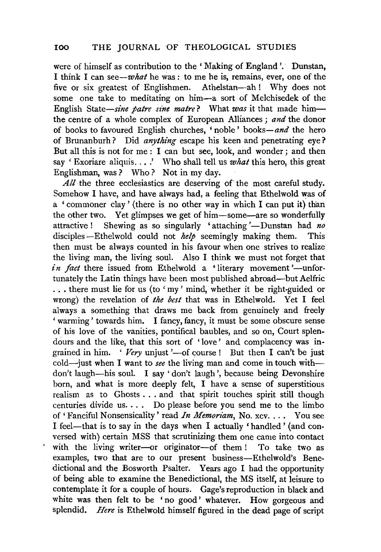were of himself as contribution to the 'Making of England'. Dunstan, I think I can *see-what* he was : to me he is, remains, ever, one of the five or six greatest of Englishmen. Athelstan-ah! Why does not some one take to meditating on him-a sort of Melchisedek of the English State-sine patre sine matre? What was it that made himthe centre of a whole complex of European Alliances ; *and* the donor of books to favoured English churches, 'noble' *books-and* the hero of Brunanburh? Did *anything* escape his keen and penetrating eye? But all this is not for me : I can but see, look, and wonder ; and then say 'Exoriare aliquis....' Who shall tell us *what* this hero, this great Englishman, was? Who? Not in my day.

*All* the three ecclesiastics are deserving of the most careful study. Somehow I have, and have always had, a feeling that Ethelwold was of a 'commoner clay' (there is no other way in which I can put it) than the other two. Yet glimpses we get of him-some-are so wonderfully attractive! Shewing as so singularly 'attaching'—Dunstan had *no* disciples-Ethelwold could not *help* seemingly making them. This then must be always counted in his favour when one strives to realize the living man, the living soul. Also I think we must not forget that *in fact* there issued from Ethelwold a 'literary movement'—unfortunately the Latin things have been most published abroad-but Aelfric ... there must lie for us (to 'my' mind, whether it be right-guided or wrong) the revelation of *the best* that was in Ethelwold. Yet I feel always a something that draws me back from genuinely and freely ' warming' towards him. I fancy, fancy, it must be some obscure sense of his love of the vanities, pontifical baubles, and so on, Court splendours and the like, that this sort of 'love' and complacency was ingrained in him. 'Very unjust '-of course! But then I can't be just cold-just when I want to *see* the living man and come in touch withdon't laugh-his soul. I say 'don't laugh', because being Devonshire born, and what is more deeply felt, I have a sense of superstitious realism as to Ghosts ... and that spirit touches spirit still though centuries divide us.  $\dots$  Do please before you send me to the limbo of 'Fanciful Nonsensicality' read *In Memoriam*, No. xcv. . . . You see I feel-that is to say in the days when I actually 'handled' (and conversed with) certain MSS that scrutinizing them one came into contact with the living writer-or originator-of them ! To take two as examples, two that are to our present business-Ethelwold's Benedictional and the Bosworth Psalter. Years ago I had the opportunity of being able to examine the Benedictional, the MS itself, at leisure to contemplate it for a couple of hours. Gage's reproduction in black and white was then felt to be 'no good' whatever. How gorgeous and splendid. *Here* is Ethelwold himself figured in the dead page of script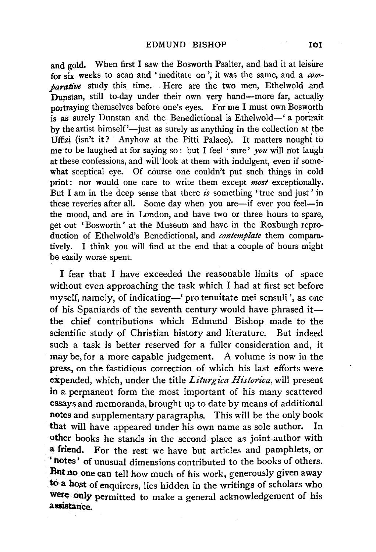and gold. When first I saw the Bosworth Psalter, and had it at leisure for six weeks to scan and 'meditate on', it was the same, and a *comparative* study this time. Here are the two men, Ethelwold and Dunstan, still to-day under their own very hand-more far, actually portraying themselves before one's eyes. For me I must own Bosworth is as surely Dunstan and the Benedictional is Ethelwold-' a portrait by the artist himself' $-$ just as surely as anything in the collection at the Uffizi (isn't it? Anyhow at the Pitti Palace). It matters nought to me to be laughed at for saying so : but I feel ' sure' *you* will not laugh at these confessions, and will look at them with indulgent, even if some· what sceptical eye. Of course one couldn't put such things in cold print: nor would one care to write them except *most* exceptionally. But I am in the deep sense that there *is* something ' true and just ' in these reveries after all. Some day when you are—if ever you feel—in the mood, and are in London, and have two or three hours to spare, get out 'Bosworth' at the Museum and have in the Roxburgh reproduction of Ethelwold's Benedictional, and *contemplate* them comparatively. I think you will find at the end that a couple of hours might be easily worse spent.

I fear that I have exceeded the reasonable limits of space without even approaching the task which I had at first set before myself, namely, of indicating-' pro tenuitate mei sensuli ', as one of his Spaniards of the seventh century would have phrased itthe chief contributions which Edmund Bishop made to the scientific study of Christian history and literature. But indeed such a task is better reserved for a fuller consideration and, it may be, for a more capable judgement. A volume is now in the press, on the fastidious correction of which his last efforts were expended, which, under the title *Liturgica Historica,* will present in a permanent form the most important of his many scattered essays and memoranda, brought up to date by means of additional notes and supplementary paragraphs. This will be the only book that will have appeared under his own name as sole author. In other books he stands in the second place as joint-author with a friend. For the rest we have but articles and pamphlets, or • notes' of unusual dimensions contributed to the books of others. But no one can tell how much of his work, generously given away to a host of enquirers, lies hidden in the writings of scholars who were only permitted to make a general acknowledgement of his assistance.